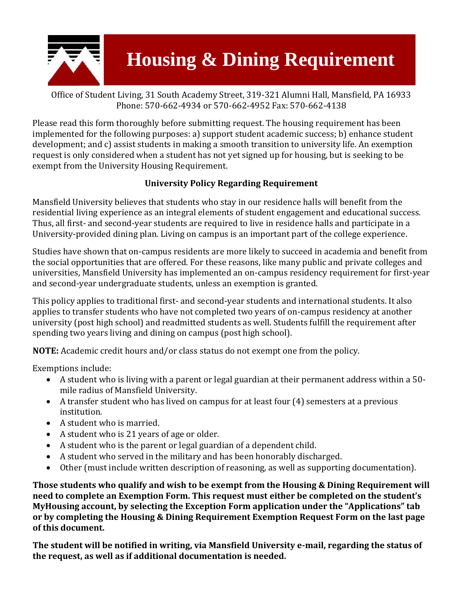

## **Housing & Dining Requirement**

Office of Student Living, 31 South Academy Street, 319-321 Alumni Hall, Mansfield, PA 16933 Phone: 570-662-4934 or 570-662-4952 Fax: 570-662-4138

Please read this form thoroughly before submitting request. The housing requirement has been implemented for the following purposes: a) support student academic success; b) enhance student development; and c) assist students in making a smooth transition to university life. An exemption request is only considered when a student has not yet signed up for housing, but is seeking to be exempt from the University Housing Requirement.

## **University Policy Regarding Requirement**

Mansfield University believes that students who stay in our residence halls will benefit from the residential living experience as an integral elements of student engagement and educational success. Thus, all first- and second-year students are required to live in residence halls and participate in a University-provided dining plan. Living on campus is an important part of the college experience.

Studies have shown that on-campus residents are more likely to succeed in academia and benefit from the social opportunities that are offered. For these reasons, like many public and private colleges and universities, Mansfield University has implemented an on-campus residency requirement for first-year and second-year undergraduate students, unless an exemption is granted.

This policy applies to traditional first- and second-year students and international students. It also applies to transfer students who have not completed two years of on-campus residency at another university (post high school) and readmitted students as well. Students fulfill the requirement after spending two years living and dining on campus (post high school).

**NOTE:** Academic credit hours and/or class status do not exempt one from the policy.

Exemptions include:

- A student who is living with a parent or legal guardian at their permanent address within a 50 mile radius of Mansfield University.
- A transfer student who has lived on campus for at least four (4) semesters at a previous institution.
- A student who is married.
- A student who is 21 years of age or older.
- A student who is the parent or legal guardian of a dependent child.
- A student who served in the military and has been honorably discharged.
- Other (must include written description of reasoning, as well as supporting documentation).

**Those students who qualify and wish to be exempt from the Housing & Dining Requirement will need to complete an Exemption Form. This request must either be completed on the student's MyHousing account, by selecting the Exception Form application under the "Applications" tab or by completing the Housing & Dining Requirement Exemption Request Form on the last page of this document.** 

**The student will be notified in writing, via Mansfield University e-mail, regarding the status of the request, as well as if additional documentation is needed.**